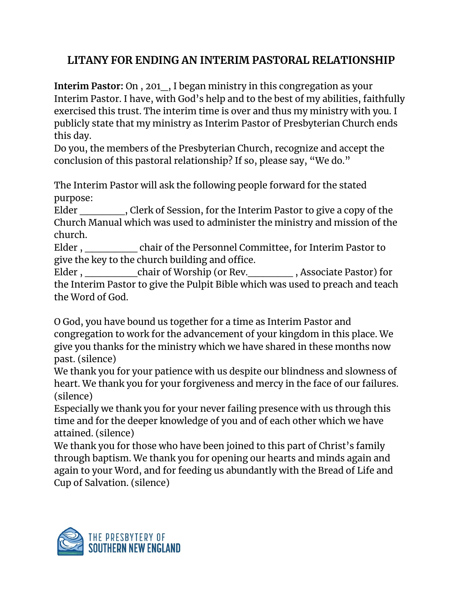## **LITANY FOR ENDING AN INTERIM PASTORAL RELATIONSHIP**

**Interim Pastor:** On , 201\_, I began ministry in this congregation as your Interim Pastor. I have, with God's help and to the best of my abilities, faithfully exercised this trust. The interim time is over and thus my ministry with you. I publicly state that my ministry as Interim Pastor of Presbyterian Church ends this day.

Do you, the members of the Presbyterian Church, recognize and accept the conclusion of this pastoral relationship? If so, please say, "We do."

The Interim Pastor will ask the following people forward for the stated purpose:

Elder \_\_\_\_\_\_, Clerk of Session, for the Interim Pastor to give a copy of the Church Manual which was used to administer the ministry and mission of the church.

Elder, chair of the Personnel Committee, for Interim Pastor to give the key to the church building and office.

Elder , chair of Worship (or Rev. The section of Superior , Associate Pastor) for the Interim Pastor to give the Pulpit Bible which was used to preach and teach the Word of God.

O God, you have bound us together for a time as Interim Pastor and congregation to work for the advancement of your kingdom in this place. We give you thanks for the ministry which we have shared in these months now past. (silence)

We thank you for your patience with us despite our blindness and slowness of heart. We thank you for your forgiveness and mercy in the face of our failures. (silence)

Especially we thank you for your never failing presence with us through this time and for the deeper knowledge of you and of each other which we have attained. (silence)

We thank you for those who have been joined to this part of Christ's family through baptism. We thank you for opening our hearts and minds again and again to your Word, and for feeding us abundantly with the Bread of Life and Cup of Salvation. (silence)